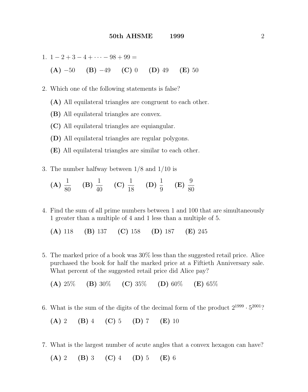1. 
$$
1 - 2 + 3 - 4 + \cdots - 98 + 99 =
$$
  
\n**(A)**  $-50$  **(B)**  $-49$  **(C)** 0 **(D)** 49 **(E)** 50

- 2. Which one of the following statements is false?
	- (A) All equilateral triangles are congruent to each other.
	- (B) All equilateral triangles are convex.
	- (C) All equilateral triangles are equiangular.
	- (D) All equilateral triangles are regular polygons.
	- (E) All equilateral triangles are similar to each other.
- 3. The number halfway between 1/8 and 1/10 is
	- $(A) \frac{1}{20}$ 80 (B)  $\frac{1}{40}$ 40 (C)  $\frac{1}{16}$ 18  $(D) \frac{1}{2}$ 9  $(E) \frac{9}{20}$ 80
- 4. Find the sum of all prime numbers between 1 and 100 that are simultaneously 1 greater than a multiple of 4 and 1 less than a multiple of 5.

(A) 118 (B) 137 (C) 158 (D) 187 (E) 245

5. The marked price of a book was 30% less than the suggested retail price. Alice purchased the book for half the marked price at a Fiftieth Anniversary sale. What percent of the suggested retail price did Alice pay?

(A)  $25\%$  (B)  $30\%$  (C)  $35\%$  (D)  $60\%$  (E)  $65\%$ 

6. What is the sum of the digits of the decimal form of the product  $2^{1999} \cdot 5^{2001}$ ?

$$
(A) 2 (B) 4 (C) 5 (D) 7 (E) 10
$$

7. What is the largest number of acute angles that a convex hexagon can have?

(A) 2 (B) 3 (C) 4 (D) 5 (E) 6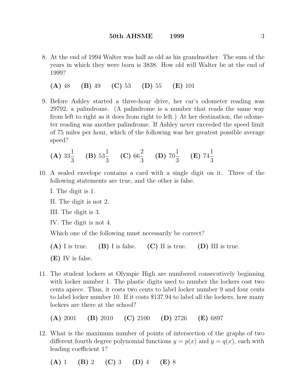- 8. At the end of 1994 Walter was half as old as his grandmother. The sum of the years in which they were born is 3838. How old will Walter be at the end of 1999?
	- (A) 48 (B) 49 (C) 53 (D) 55 (E) 101
- 9. Before Ashley started a three-hour drive, her car's odometer reading was 29792, a palindrome. (A palindrome is a number that reads the same way from left to right as it does from right to left.) At her destination, the odometer reading was another palindrome. If Ashley never exceeded the speed limit of 75 miles per hour, which of the following was her greatest possible average speed?

(**A**) 
$$
33\frac{1}{3}
$$
 (**B**)  $53\frac{1}{3}$  (**C**)  $66\frac{2}{3}$  (**D**)  $70\frac{1}{3}$  (**E**)  $74\frac{1}{3}$ 

- 10. A sealed envelope contains a card with a single digit on it. Three of the following statements are true, and the other is false.
	- I. The digit is 1.
	- II. The digit is not 2.
	- III. The digit is 3.
	- IV. The digit is not 4.

Which one of the following must necessarily be correct?

- $(A)$  I is true.  $(B)$  I is false.  $(C)$  II is true.  $(D)$  III is true.
- (E) IV is false.
- 11. The student lockers at Olympic High are numbered consecutively beginning with locker number 1. The plastic digits used to number the lockers cost two cents apiece. Thus, it costs two cents to label locker number 9 and four cents to label locker number 10. If it costs \$137.94 to label all the lockers, how many lockers are there at the school?

(A) 2001 (B) 2010 (C) 2100 (D) 2726 (E) 6897

- 12. What is the maximum number of points of intersection of the graphs of two different fourth degree polynomial functions  $y = p(x)$  and  $y = q(x)$ , each with leading coefficient 1?
	- (A) 1 (B) 2 (C) 3 (D) 4 (E) 8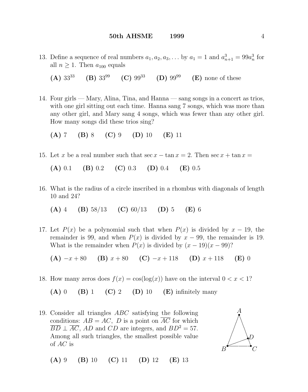## 50th AHSME 1999 4

- 13. Define a sequence of real numbers  $a_1, a_2, a_3, \ldots$  by  $a_1 = 1$  and  $a_{n+1}^3 = 99a_n^3$  for all  $n \geq 1$ . Then  $a_{100}$  equals
	- (A)  $33^{33}$  (B)  $33^{99}$  (C)  $99^{33}$  (D)  $99^{99}$  (E) none of these
- 14. Four girls Mary, Alina, Tina, and Hanna sang songs in a concert as trios, with one girl sitting out each time. Hanna sang 7 songs, which was more than any other girl, and Mary sang 4 songs, which was fewer than any other girl. How many songs did these trios sing?
	- (A) 7 (B) 8 (C) 9 (D) 10 (E) 11
- 15. Let x be a real number such that  $\sec x \tan x = 2$ . Then  $\sec x + \tan x =$

(A) 0.1 (B) 0.2 (C) 0.3 (D) 0.4 (E) 0.5

16. What is the radius of a circle inscribed in a rhombus with diagonals of length 10 and 24?

(A) 4 (B)  $58/13$  (C)  $60/13$  (D) 5 (E) 6

17. Let  $P(x)$  be a polynomial such that when  $P(x)$  is divided by  $x - 19$ , the remainder is 99, and when  $P(x)$  is divided by  $x - 99$ , the remainder is 19. What is the remainder when  $P(x)$  is divided by  $(x - 19)(x - 99)$ ?

(A)  $-x+80$  (B)  $x+80$  (C)  $-x+118$  (D)  $x+118$  (E) 0

18. How many zeros does  $f(x) = \cos(\log(x))$  have on the interval  $0 < x < 1$ ?

(A) 0 (B) 1 (C) 2 (D) 10 (E) infinitely many

19. Consider all triangles ABC satisfying the following conditions:  $AB = AC$ , D is a point on  $\overline{AC}$  for which  $\overline{BD} \perp \overline{AC}$ , AD and CD are integers, and  $BD^2 = 57$ . Among all such triangles, the smallest possible value of AC is  $\overline{\phantom{a}}$ 



(A) 9 (B) 10 (C) 11 (D) 12 (E) 13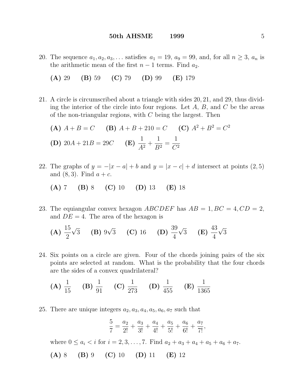- 20. The sequence  $a_1, a_2, a_3, \ldots$  satisfies  $a_1 = 19$ ,  $a_9 = 99$ , and, for all  $n \geq 3$ ,  $a_n$  is the arithmetic mean of the first  $n-1$  terms. Find  $a_2$ .
	- (A) 29 (B) 59 (C) 79 (D) 99 (E) 179
- 21. A circle is circumscribed about a triangle with sides 20, 21, and 29, thus dividing the interior of the circle into four regions. Let  $A, B$ , and  $C$  be the areas of the non-triangular regions, with  $C$  being the largest. Then

(A) 
$$
A + B = C
$$

\n(B)  $A + B + 210 = C$ 

\n(C)  $A^2 + B^2 = C^2$ 

\n(D)  $20A + 21B = 29C$ 

\n(E)  $\frac{1}{A^2} + \frac{1}{B^2} = \frac{1}{C^2}$ 

22. The graphs of  $y = -|x - a| + b$  and  $y = |x - c| + d$  intersect at points  $(2, 5)$ and  $(8,3)$ . Find  $a + c$ .

(A) 7 (B) 8 (C) 10 (D) 13 (E) 18

23. The equiangular convex hexagon ABCDEF has  $AB = 1, BC = 4, CD = 2$ , and  $DE = 4$ . The area of the hexagon is

(A) 
$$
\frac{15}{2}\sqrt{3}
$$
 (B)  $9\sqrt{3}$  (C) 16 (D)  $\frac{39}{4}\sqrt{3}$  (E)  $\frac{43}{4}\sqrt{3}$ 

24. Six points on a circle are given. Four of the chords joining pairs of the six points are selected at random. What is the probability that the four chords are the sides of a convex quadrilateral?

(A) 
$$
\frac{1}{15}
$$
 (B)  $\frac{1}{91}$  (C)  $\frac{1}{273}$  (D)  $\frac{1}{455}$  (E)  $\frac{1}{1365}$ 

25. There are unique integers  $a_2, a_3, a_4, a_5, a_6, a_7$  such that

$$
\frac{5}{7} = \frac{a_2}{2!} + \frac{a_3}{3!} + \frac{a_4}{4!} + \frac{a_5}{5!} + \frac{a_6}{6!} + \frac{a_7}{7!},
$$

where  $0 \le a_i < i$  for  $i = 2, 3, ..., 7$ . Find  $a_2 + a_3 + a_4 + a_5 + a_6 + a_7$ .

(A) 8 (B) 9 (C) 10 (D) 11 (E) 12